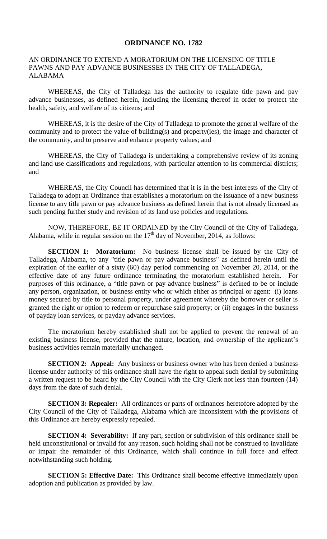## **ORDINANCE NO. 1782**

## AN ORDINANCE TO EXTEND A MORATORIUM ON THE LICENSING OF TITLE PAWNS AND PAY ADVANCE BUSINESSES IN THE CITY OF TALLADEGA, ALABAMA

WHEREAS, the City of Talladega has the authority to regulate title pawn and pay advance businesses, as defined herein, including the licensing thereof in order to protect the health, safety, and welfare of its citizens; and

WHEREAS, it is the desire of the City of Talladega to promote the general welfare of the community and to protect the value of building(s) and property(ies), the image and character of the community, and to preserve and enhance property values; and

WHEREAS, the City of Talladega is undertaking a comprehensive review of its zoning and land use classifications and regulations, with particular attention to its commercial districts; and

WHEREAS, the City Council has determined that it is in the best interests of the City of Talladega to adopt an Ordinance that establishes a moratorium on the issuance of a new business license to any title pawn or pay advance business as defined herein that is not already licensed as such pending further study and revision of its land use policies and regulations.

NOW, THEREFORE, BE IT ORDAINED by the City Council of the City of Talladega, Alabama, while in regular session on the  $17<sup>th</sup>$  day of November, 2014, as follows:

**SECTION 1: Moratorium:** No business license shall be issued by the City of Talladega, Alabama, to any "title pawn or pay advance business" as defined herein until the expiration of the earlier of a sixty (60) day period commencing on November 20, 2014, or the effective date of any future ordinance terminating the moratorium established herein. For purposes of this ordinance, a "title pawn or pay advance business" is defined to be or include any person, organization, or business entity who or which either as principal or agent: (i) loans money secured by title to personal property, under agreement whereby the borrower or seller is granted the right or option to redeem or repurchase said property; or (ii) engages in the business of payday loan services, or payday advance services.

The moratorium hereby established shall not be applied to prevent the renewal of an existing business license, provided that the nature, location, and ownership of the applicant's business activities remain materially unchanged.

**SECTION 2: Appeal:** Any business or business owner who has been denied a business license under authority of this ordinance shall have the right to appeal such denial by submitting a written request to be heard by the City Council with the City Clerk not less than fourteen (14) days from the date of such denial.

**SECTION 3: Repealer:** All ordinances or parts of ordinances heretofore adopted by the City Council of the City of Talladega, Alabama which are inconsistent with the provisions of this Ordinance are hereby expressly repealed.

**SECTION 4: Severability:** If any part, section or subdivision of this ordinance shall be held unconstitutional or invalid for any reason, such holding shall not be construed to invalidate or impair the remainder of this Ordinance, which shall continue in full force and effect notwithstanding such holding.

**SECTION 5: Effective Date:** This Ordinance shall become effective immediately upon adoption and publication as provided by law.